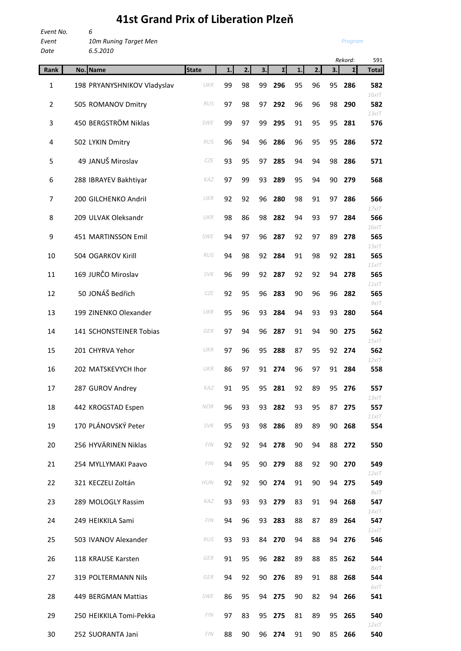## *Event No. 6 Event 10m Runing Target Men Date 6.5.2010 Rekord:* 591 **Rank No. Name State 1. 2. 3. Σ 1. 2. 3. Σ Total** 1 198 PRYANYSHNIKOV Vladyslav *UKR* 99 98 99 **296** 95 96 95 **286 582** *16xIT* 2 505 ROMANOV Dmitry *RUS* 97 98 97 **292** 96 96 98 **290 582** *13xIT* 3 450 BERGSTRÖM Niklas *SWE* 99 97 99 **295** 91 95 95 **281 576** 4 502 LYKIN Dmitry *RUS* 96 94 96 **286** 96 95 95 **286 572** 5 49 JANUŠ Miroslav *CZE* 93 95 97 **285** 94 94 98 **286 571** 6 288 IBRAYEV Bakhtiyar *KAZ* 97 99 93 **289** 95 94 90 **279 568** 7 200 GILCHENKO AndriI *UKR* 92 92 96 **280** 98 91 97 **286 566** *17xIT* 8 209 ULVAK Oleksandr *UKR* 98 86 98 **282** 94 93 97 **284 566** *16xIT* **41st Grand Prix of Liberation Plzeň**  *Program*

*12xIT*

| O  | Z88 IBRATEV Bakıllıyar     | <b>INAL</b> | 91 | ษร | วว | 20J    | ັງວ | 94 | รบ | 219    | ooc             |
|----|----------------------------|-------------|----|----|----|--------|-----|----|----|--------|-----------------|
| 7  | 200 GILCHENKO Andril       | UKR         | 92 | 92 | 96 | 280    | 98  | 91 | 97 | 286    | 566             |
| 8  | 209 ULVAK Oleksandr        | UKR         | 98 | 86 | 98 | 282    | 94  | 93 | 97 | 284    | $17x$ IT<br>566 |
| 9  | 451 MARTINSSON Emil        | <b>SWE</b>  | 94 | 97 | 96 | 287    | 92  | 97 | 89 | 278    | $16x$ IT<br>565 |
| 10 | 504 OGARKOV Kirill         | RUS         | 94 | 98 | 92 | 284    | 91  | 98 | 92 | 281    | 13x/T<br>565    |
| 11 | 169 JURČO Miroslav         | <b>SVK</b>  | 96 | 99 | 92 | 287    | 92  | 92 | 94 | 278    | 11x/T<br>565    |
|    | 50 JONÁŠ Bedřich           | CZE         |    |    |    |        |     |    |    |        | 11x/T           |
| 12 |                            |             | 92 | 95 | 96 | 283    | 90  | 96 | 96 | 282    | 565<br>9x/T     |
| 13 | 199 ZINENKO Olexander      | UKR         | 95 | 96 | 93 | 284    | 94  | 93 | 93 | 280    | 564             |
| 14 | 141 SCHONSTEINER Tobias    | GER         | 97 | 94 | 96 | 287    | 91  | 94 | 90 | 275    | 562<br>15x/T    |
| 15 | 201 CHYRVA Yehor           | UKR         | 97 | 96 | 95 | 288    | 87  | 95 | 92 | 274    | 562             |
| 16 | 202 MATSKEVYCH Ihor        | UKR         | 86 | 97 | 91 | 274    | 96  | 97 | 91 | 284    | $12x$ IT<br>558 |
| 17 | 287 GUROV Andrey           | KAZ         | 91 | 95 | 95 | 281    | 92  | 89 | 95 | 276    | 557             |
| 18 | 442 KROGSTAD Espen         | <b>NOR</b>  | 96 | 93 | 93 | 282    | 93  | 95 | 87 | 275    | $13x$ IT<br>557 |
| 19 | 170 PLÁNOVSKÝ Peter        | <b>SVK</b>  | 95 | 93 | 98 | 286    | 89  | 89 | 90 | 268    | 11x<br>554      |
| 20 | 256 HYVÄRINEN Niklas       | FIN         | 92 | 92 | 94 | 278    | 90  | 94 | 88 | 272    | 550             |
|    |                            |             |    |    |    |        |     |    |    |        |                 |
| 21 | 254 MYLLYMAKI Paavo        | FIN         | 94 | 95 | 90 | 279    | 88  | 92 | 90 | 270    | 549<br>$12x$ IT |
| 22 | 321 KECZELI Zoltán         | HUN         | 92 | 92 | 90 | 274    | 91  | 90 | 94 | 275    | 549<br>8x/T     |
| 23 | 289 MOLOGLY Rassim         | KAZ         | 93 | 93 | 93 | 279    | 83  | 91 | 94 | 268    | 547             |
| 24 | 249 HEIKKILA Sami          | FIN         | 94 | 96 | 93 | 283    | 88  | 87 |    | 89 264 | $14x$ IT<br>547 |
| 25 | 503 IVANOV Alexander       | RUS         | 93 | 93 |    | 84 270 | 94  | 88 |    | 94 276 | $11x$ IT<br>546 |
| 26 | 118 KRAUSE Karsten         | GER         | 91 | 95 |    | 96 282 | 89  | 88 | 85 | 262    | 544             |
|    |                            |             |    |    |    |        |     |    |    |        | 8x/T            |
| 27 | <b>319 POLTERMANN Nils</b> | GER         | 94 | 92 |    | 90 276 | 89  | 91 | 88 | 268    | 544<br>6xIT     |
| 28 | 449 BERGMAN Mattias        | <b>SWE</b>  | 86 | 95 |    | 94 275 | 90  | 82 |    | 94 266 | 541             |

29 250 HEIKKILA Tomi-Pekka *FIN* 97 83 95 **275** 81 89 95 **265 540**

30 252 SUORANTA Jani *FIN* 88 90 96 **274** 91 90 85 **266 540**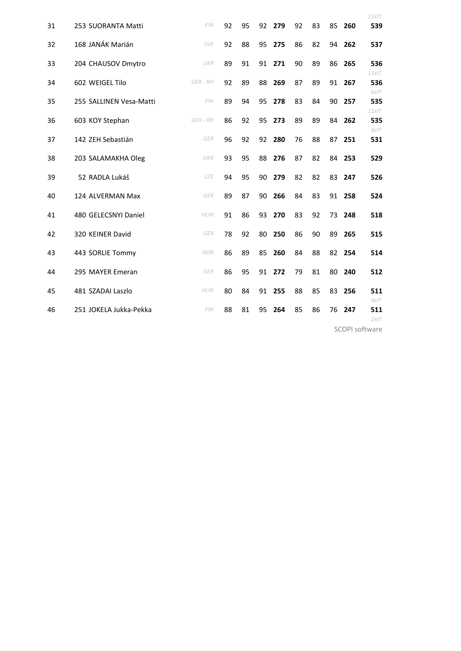|    |                         |            |    |    |    |     |                       |    |    |     | $11x$ IT        |
|----|-------------------------|------------|----|----|----|-----|-----------------------|----|----|-----|-----------------|
| 31 | 253 SUORANTA Matti      | <b>FIN</b> | 92 | 95 | 92 | 279 | 92                    | 83 | 85 | 260 | 539             |
| 32 | 168 JANÁK Marián        | <b>SVK</b> | 92 | 88 | 95 | 275 | 86                    | 82 | 94 | 262 | 537             |
| 33 | 204 CHAUSOV Dmytro      | UKR        | 89 | 91 | 91 | 271 | 90                    | 89 | 86 | 265 | 536             |
| 34 | 602 WEIGEL Tilo         | GER - RH   | 92 | 89 | 88 | 269 | 87                    | 89 | 91 | 267 | $11x$ IT<br>536 |
| 35 | 255 SALLINEN Vesa-Matti | FIN        | 89 | 94 | 95 | 278 | 83                    | 84 | 90 | 257 | 6x/T<br>535     |
| 36 | 603 KOY Stephan         | GER - RH   | 86 | 92 | 95 | 273 | 89                    | 89 | 84 | 262 | 11x<br>535      |
| 37 | 142 ZEH Sebastián       | <b>GER</b> | 96 | 92 | 92 | 280 | 76                    | 88 | 87 | 251 | 8x/T<br>531     |
| 38 | 203 SALAMAKHA Oleg      | UKR        | 93 | 95 | 88 | 276 | 87                    | 82 | 84 | 253 | 529             |
| 39 | 52 RADLA Lukáš          | CZE        | 94 | 95 | 90 | 279 | 82                    | 82 | 83 | 247 | 526             |
| 40 | 124 ALVERMAN Max        | <b>GER</b> | 89 | 87 | 90 | 266 | 84                    | 83 | 91 | 258 | 524             |
| 41 | 480 GELECSNYI Daniel    | <b>HUN</b> | 91 | 86 | 93 | 270 | 83                    | 92 | 73 | 248 | 518             |
| 42 | 320 KEINER David        | <b>GER</b> | 78 | 92 | 80 | 250 | 86                    | 90 | 89 | 265 | 515             |
| 43 | 443 SORLIE Tommy        | <b>NOR</b> | 86 | 89 | 85 | 260 | 84                    | 88 | 82 | 254 | 514             |
| 44 | 295 MAYER Emeran        | <b>GER</b> | 86 | 95 | 91 | 272 | 79                    | 81 | 80 | 240 | 512             |
|    |                         |            |    |    |    |     |                       |    |    |     |                 |
| 45 | 481 SZADAI Laszlo       | <b>HUN</b> | 80 | 84 | 91 | 255 | 88                    | 85 | 83 | 256 | 511<br>$4x$ IT  |
| 46 | 251 JOKELA Jukka-Pekka  | FIN        | 88 | 81 | 95 | 264 | 85                    | 86 | 76 | 247 | 511<br>2x/T     |
|    |                         |            |    |    |    |     |                       |    |    |     |                 |
|    |                         |            |    |    |    |     | <b>SCOPI</b> software |    |    |     |                 |